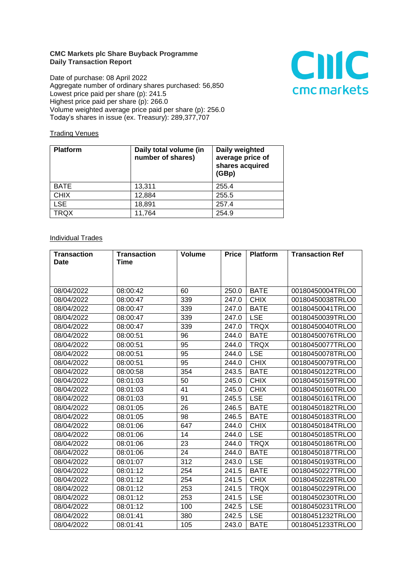## **CMC Markets plc Share Buyback Programme Daily Transaction Report**

Date of purchase: 08 April 2022 Aggregate number of ordinary shares purchased: 56,850 Lowest price paid per share (p): 241.5 Highest price paid per share (p): 266.0 Volume weighted average price paid per share (p): 256.0 Today's shares in issue (ex. Treasury): 289,377,707



## **Trading Venues**

| <b>Platform</b> | Daily total volume (in<br>number of shares) | Daily weighted<br>average price of<br>shares acquired<br>(GBp) |
|-----------------|---------------------------------------------|----------------------------------------------------------------|
| <b>BATE</b>     | 13,311                                      | 255.4                                                          |
| <b>CHIX</b>     | 12,884                                      | 255.5                                                          |
| <b>LSE</b>      | 18,891                                      | 257.4                                                          |
| TRQX            | 11,764                                      | 254.9                                                          |

## **Individual Trades**

| <b>Transaction</b> | <b>Transaction</b> | <b>Volume</b> | <b>Price</b> | <b>Platform</b> | <b>Transaction Ref</b> |
|--------------------|--------------------|---------------|--------------|-----------------|------------------------|
| <b>Date</b>        | <b>Time</b>        |               |              |                 |                        |
|                    |                    |               |              |                 |                        |
|                    |                    |               |              |                 |                        |
| 08/04/2022         | 08:00:42           | 60            | 250.0        | <b>BATE</b>     | 00180450004TRLO0       |
| 08/04/2022         | 08:00:47           | 339           | 247.0        | <b>CHIX</b>     | 00180450038TRLO0       |
| 08/04/2022         | 08:00:47           | 339           | 247.0        | <b>BATE</b>     | 00180450041TRLO0       |
| 08/04/2022         | 08:00:47           | 339           | 247.0        | <b>LSE</b>      | 00180450039TRLO0       |
| 08/04/2022         | 08:00:47           | 339           | 247.0        | <b>TRQX</b>     | 00180450040TRLO0       |
| 08/04/2022         | 08:00:51           | 96            | 244.0        | <b>BATE</b>     | 00180450076TRLO0       |
| 08/04/2022         | 08:00:51           | 95            | 244.0        | <b>TRQX</b>     | 00180450077TRLO0       |
| 08/04/2022         | 08:00:51           | 95            | 244.0        | <b>LSE</b>      | 00180450078TRLO0       |
| 08/04/2022         | 08:00:51           | 95            | 244.0        | <b>CHIX</b>     | 00180450079TRLO0       |
| 08/04/2022         | 08:00:58           | 354           | 243.5        | <b>BATE</b>     | 00180450122TRLO0       |
| 08/04/2022         | 08:01:03           | 50            | 245.0        | <b>CHIX</b>     | 00180450159TRLO0       |
| 08/04/2022         | 08:01:03           | 41            | 245.0        | <b>CHIX</b>     | 00180450160TRLO0       |
| 08/04/2022         | 08:01:03           | 91            | 245.5        | <b>LSE</b>      | 00180450161TRLO0       |
| 08/04/2022         | 08:01:05           | 26            | 246.5        | <b>BATE</b>     | 00180450182TRLO0       |
| 08/04/2022         | 08:01:05           | 98            | 246.5        | <b>BATE</b>     | 00180450183TRLO0       |
| 08/04/2022         | 08:01:06           | 647           | 244.0        | <b>CHIX</b>     | 00180450184TRLO0       |
| 08/04/2022         | 08:01:06           | 14            | 244.0        | <b>LSE</b>      | 00180450185TRLO0       |
| 08/04/2022         | 08:01:06           | 23            | 244.0        | <b>TRQX</b>     | 00180450186TRLO0       |
| 08/04/2022         | 08:01:06           | 24            | 244.0        | <b>BATE</b>     | 00180450187TRLO0       |
| 08/04/2022         | 08:01:07           | 312           | 243.0        | <b>LSE</b>      | 00180450193TRLO0       |
| 08/04/2022         | 08:01:12           | 254           | 241.5        | <b>BATE</b>     | 00180450227TRLO0       |
| 08/04/2022         | 08:01:12           | 254           | 241.5        | <b>CHIX</b>     | 00180450228TRLO0       |
| 08/04/2022         | 08:01:12           | 253           | 241.5        | <b>TRQX</b>     | 00180450229TRLO0       |
| 08/04/2022         | 08:01:12           | 253           | 241.5        | <b>LSE</b>      | 00180450230TRLO0       |
| 08/04/2022         | 08:01:12           | 100           | 242.5        | <b>LSE</b>      | 00180450231TRLO0       |
| 08/04/2022         | 08:01:41           | 380           | 242.5        | <b>LSE</b>      | 00180451232TRLO0       |
| 08/04/2022         | 08:01:41           | 105           | 243.0        | <b>BATE</b>     | 00180451233TRLO0       |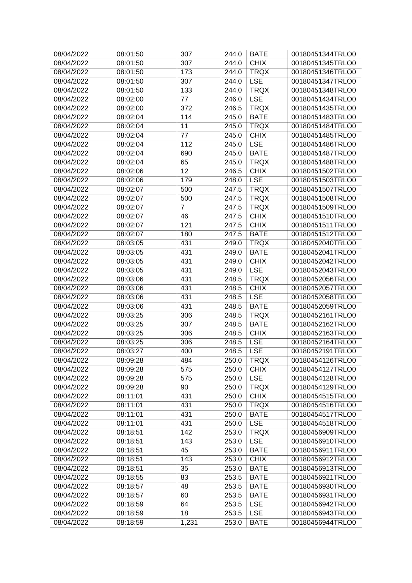| 08/04/2022 | 08:01:50 | 307            | 244.0 | <b>BATE</b> | 00180451344TRLO0 |
|------------|----------|----------------|-------|-------------|------------------|
| 08/04/2022 | 08:01:50 | 307            | 244.0 | <b>CHIX</b> | 00180451345TRLO0 |
| 08/04/2022 | 08:01:50 | 173            | 244.0 | <b>TRQX</b> | 00180451346TRLO0 |
| 08/04/2022 | 08:01:50 | 307            | 244.0 | <b>LSE</b>  | 00180451347TRLO0 |
| 08/04/2022 | 08:01:50 | 133            | 244.0 | <b>TRQX</b> | 00180451348TRLO0 |
| 08/04/2022 | 08:02:00 | 77             | 246.0 | <b>LSE</b>  | 00180451434TRLO0 |
| 08/04/2022 | 08:02:00 | 372            | 246.5 | <b>TRQX</b> | 00180451435TRLO0 |
| 08/04/2022 | 08:02:04 | 114            | 245.0 | <b>BATE</b> | 00180451483TRLO0 |
| 08/04/2022 | 08:02:04 | 11             | 245.0 | <b>TRQX</b> | 00180451484TRLO0 |
| 08/04/2022 | 08:02:04 | 77             | 245.0 | <b>CHIX</b> | 00180451485TRLO0 |
| 08/04/2022 | 08:02:04 | 112            | 245.0 | <b>LSE</b>  | 00180451486TRLO0 |
| 08/04/2022 | 08:02:04 | 690            | 245.0 | <b>BATE</b> | 00180451487TRLO0 |
| 08/04/2022 | 08:02:04 | 65             | 245.0 | <b>TRQX</b> | 00180451488TRLO0 |
| 08/04/2022 | 08:02:06 | 12             | 246.5 | <b>CHIX</b> | 00180451502TRLO0 |
| 08/04/2022 | 08:02:06 | 179            | 248.0 | <b>LSE</b>  | 00180451503TRLO0 |
| 08/04/2022 | 08:02:07 | 500            | 247.5 | <b>TRQX</b> | 00180451507TRLO0 |
| 08/04/2022 | 08:02:07 | 500            | 247.5 | <b>TRQX</b> | 00180451508TRLO0 |
| 08/04/2022 | 08:02:07 | $\overline{7}$ | 247.5 | <b>TRQX</b> | 00180451509TRLO0 |
| 08/04/2022 | 08:02:07 | 46             | 247.5 | <b>CHIX</b> | 00180451510TRLO0 |
| 08/04/2022 | 08:02:07 | 121            | 247.5 | <b>CHIX</b> | 00180451511TRLO0 |
| 08/04/2022 |          |                | 247.5 | <b>BATE</b> | 00180451512TRLO0 |
|            | 08:02:07 | 180            |       |             |                  |
| 08/04/2022 | 08:03:05 | 431            | 249.0 | <b>TRQX</b> | 00180452040TRLO0 |
| 08/04/2022 | 08:03:05 | 431            | 249.0 | <b>BATE</b> | 00180452041TRLO0 |
| 08/04/2022 | 08:03:05 | 431            | 249.0 | <b>CHIX</b> | 00180452042TRLO0 |
| 08/04/2022 | 08:03:05 | 431            | 249.0 | <b>LSE</b>  | 00180452043TRLO0 |
| 08/04/2022 | 08:03:06 | 431            | 248.5 | <b>TRQX</b> | 00180452056TRLO0 |
| 08/04/2022 | 08:03:06 | 431            | 248.5 | <b>CHIX</b> | 00180452057TRLO0 |
| 08/04/2022 | 08:03:06 | 431            | 248.5 | <b>LSE</b>  | 00180452058TRLO0 |
| 08/04/2022 | 08:03:06 | 431            | 248.5 | <b>BATE</b> | 00180452059TRLO0 |
| 08/04/2022 | 08:03:25 | 306            | 248.5 | <b>TRQX</b> | 00180452161TRLO0 |
| 08/04/2022 | 08:03:25 | 307            | 248.5 | <b>BATE</b> | 00180452162TRLO0 |
| 08/04/2022 | 08:03:25 | 306            | 248.5 | <b>CHIX</b> | 00180452163TRLO0 |
| 08/04/2022 | 08:03:25 | 306            | 248.5 | <b>LSE</b>  | 00180452164TRLO0 |
| 08/04/2022 | 08:03:27 | 400            | 248.5 | <b>LSE</b>  | 00180452191TRLO0 |
| 08/04/2022 | 08:09:28 | 484            | 250.0 | <b>TRQX</b> | 00180454126TRLO0 |
| 08/04/2022 | 08:09:28 | 575            | 250.0 | <b>CHIX</b> | 00180454127TRLO0 |
| 08/04/2022 | 08:09:28 | 575            | 250.0 | <b>LSE</b>  | 00180454128TRLO0 |
| 08/04/2022 | 08:09:28 | 90             | 250.0 | <b>TRQX</b> | 00180454129TRLO0 |
| 08/04/2022 | 08:11:01 | 431            | 250.0 | <b>CHIX</b> | 00180454515TRLO0 |
| 08/04/2022 | 08:11:01 | 431            | 250.0 | <b>TRQX</b> | 00180454516TRLO0 |
| 08/04/2022 | 08:11:01 | 431            | 250.0 | <b>BATE</b> | 00180454517TRLO0 |
| 08/04/2022 | 08:11:01 | 431            | 250.0 | <b>LSE</b>  | 00180454518TRLO0 |
| 08/04/2022 | 08:18:51 | 142            | 253.0 | <b>TRQX</b> | 00180456909TRLO0 |
| 08/04/2022 | 08:18:51 | 143            | 253.0 | <b>LSE</b>  | 00180456910TRLO0 |
| 08/04/2022 | 08:18:51 | 45             | 253.0 | <b>BATE</b> | 00180456911TRLO0 |
| 08/04/2022 | 08:18:51 | 143            | 253.0 | <b>CHIX</b> | 00180456912TRLO0 |
| 08/04/2022 | 08:18:51 | 35             | 253.0 | <b>BATE</b> | 00180456913TRLO0 |
| 08/04/2022 | 08:18:55 | 83             | 253.5 | <b>BATE</b> | 00180456921TRLO0 |
| 08/04/2022 | 08:18:57 | 48             | 253.5 | <b>BATE</b> | 00180456930TRLO0 |
| 08/04/2022 | 08:18:57 | 60             | 253.5 | <b>BATE</b> | 00180456931TRLO0 |
| 08/04/2022 | 08:18:59 | 64             | 253.5 | <b>LSE</b>  | 00180456942TRLO0 |
| 08/04/2022 | 08:18:59 | 18             | 253.5 | <b>LSE</b>  | 00180456943TRLO0 |
| 08/04/2022 | 08:18:59 | 1,231          | 253.0 | <b>BATE</b> | 00180456944TRLO0 |
|            |          |                |       |             |                  |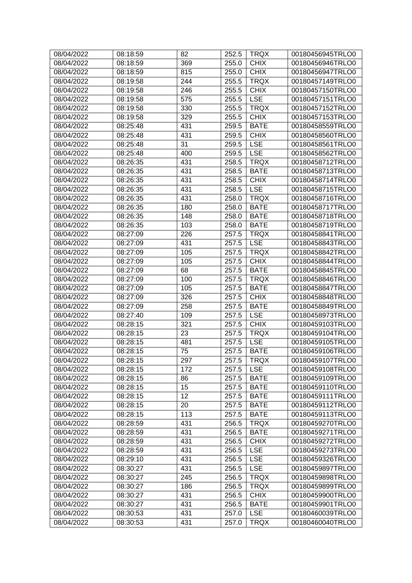| 08/04/2022 | 08:18:59 | 82  | 252.5 | <b>TRQX</b> | 00180456945TRLO0 |
|------------|----------|-----|-------|-------------|------------------|
| 08/04/2022 | 08:18:59 | 369 | 255.0 | <b>CHIX</b> | 00180456946TRLO0 |
| 08/04/2022 | 08:18:59 | 815 | 255.0 | <b>CHIX</b> | 00180456947TRLO0 |
| 08/04/2022 | 08:19:58 | 244 | 255.5 | <b>TRQX</b> | 00180457149TRLO0 |
| 08/04/2022 | 08:19:58 | 246 | 255.5 | <b>CHIX</b> | 00180457150TRLO0 |
| 08/04/2022 | 08:19:58 | 575 | 255.5 | <b>LSE</b>  | 00180457151TRLO0 |
| 08/04/2022 | 08:19:58 | 330 | 255.5 | <b>TRQX</b> | 00180457152TRLO0 |
| 08/04/2022 | 08:19:58 | 329 | 255.5 | <b>CHIX</b> | 00180457153TRLO0 |
| 08/04/2022 | 08:25:48 | 431 | 259.5 | <b>BATE</b> | 00180458559TRLO0 |
| 08/04/2022 | 08:25:48 | 431 | 259.5 | <b>CHIX</b> | 00180458560TRLO0 |
| 08/04/2022 | 08:25:48 | 31  | 259.5 | <b>LSE</b>  | 00180458561TRLO0 |
| 08/04/2022 | 08:25:48 | 400 | 259.5 | <b>LSE</b>  | 00180458562TRLO0 |
| 08/04/2022 | 08:26:35 | 431 | 258.5 | <b>TRQX</b> | 00180458712TRLO0 |
| 08/04/2022 | 08:26:35 | 431 | 258.5 | <b>BATE</b> | 00180458713TRLO0 |
| 08/04/2022 | 08:26:35 | 431 | 258.5 | <b>CHIX</b> | 00180458714TRLO0 |
| 08/04/2022 | 08:26:35 | 431 | 258.5 | <b>LSE</b>  | 00180458715TRLO0 |
| 08/04/2022 | 08:26:35 | 431 | 258.0 | <b>TRQX</b> | 00180458716TRLO0 |
| 08/04/2022 | 08:26:35 | 180 | 258.0 | <b>BATE</b> | 00180458717TRLO0 |
| 08/04/2022 | 08:26:35 | 148 | 258.0 | <b>BATE</b> | 00180458718TRLO0 |
| 08/04/2022 | 08:26:35 | 103 | 258.0 | <b>BATE</b> | 00180458719TRLO0 |
| 08/04/2022 | 08:27:09 | 226 | 257.5 | <b>TRQX</b> | 00180458841TRLO0 |
| 08/04/2022 | 08:27:09 | 431 | 257.5 | <b>LSE</b>  | 00180458843TRLO0 |
| 08/04/2022 | 08:27:09 | 105 | 257.5 | <b>TRQX</b> | 00180458842TRLO0 |
| 08/04/2022 | 08:27:09 | 105 | 257.5 | <b>CHIX</b> | 00180458844TRLO0 |
| 08/04/2022 | 08:27:09 | 68  | 257.5 | <b>BATE</b> | 00180458845TRLO0 |
| 08/04/2022 | 08:27:09 | 100 | 257.5 | <b>TRQX</b> | 00180458846TRLO0 |
| 08/04/2022 | 08:27:09 | 105 | 257.5 | <b>BATE</b> | 00180458847TRLO0 |
| 08/04/2022 | 08:27:09 | 326 | 257.5 | <b>CHIX</b> | 00180458848TRLO0 |
| 08/04/2022 | 08:27:09 | 258 | 257.5 | <b>BATE</b> | 00180458849TRLO0 |
| 08/04/2022 | 08:27:40 | 109 | 257.5 | <b>LSE</b>  | 00180458973TRLO0 |
| 08/04/2022 | 08:28:15 | 321 | 257.5 | <b>CHIX</b> | 00180459103TRLO0 |
| 08/04/2022 | 08:28:15 | 23  | 257.5 | <b>TRQX</b> | 00180459104TRLO0 |
| 08/04/2022 | 08:28:15 | 481 | 257.5 | <b>LSE</b>  | 00180459105TRLO0 |
| 08/04/2022 | 08:28:15 | 75  | 257.5 | <b>BATE</b> | 00180459106TRLO0 |
| 08/04/2022 | 08:28:15 | 297 | 257.5 | <b>TRQX</b> | 00180459107TRLO0 |
| 08/04/2022 | 08:28:15 | 172 | 257.5 | <b>LSE</b>  | 00180459108TRLO0 |
| 08/04/2022 | 08:28:15 | 86  | 257.5 | <b>BATE</b> | 00180459109TRLO0 |
| 08/04/2022 | 08:28:15 | 15  | 257.5 | <b>BATE</b> | 00180459110TRLO0 |
| 08/04/2022 | 08:28:15 | 12  | 257.5 | <b>BATE</b> | 00180459111TRLO0 |
| 08/04/2022 | 08:28:15 | 20  | 257.5 | <b>BATE</b> | 00180459112TRLO0 |
| 08/04/2022 | 08:28:15 | 113 | 257.5 | <b>BATE</b> | 00180459113TRLO0 |
| 08/04/2022 | 08:28:59 | 431 | 256.5 | <b>TRQX</b> | 00180459270TRLO0 |
| 08/04/2022 | 08:28:59 | 431 | 256.5 | <b>BATE</b> | 00180459271TRLO0 |
| 08/04/2022 | 08:28:59 | 431 | 256.5 | <b>CHIX</b> | 00180459272TRLO0 |
| 08/04/2022 | 08:28:59 | 431 | 256.5 | <b>LSE</b>  | 00180459273TRLO0 |
| 08/04/2022 | 08:29:10 | 431 | 256.5 | <b>LSE</b>  | 00180459326TRLO0 |
| 08/04/2022 | 08:30:27 | 431 | 256.5 | <b>LSE</b>  | 00180459897TRLO0 |
| 08/04/2022 | 08:30:27 | 245 | 256.5 | <b>TRQX</b> | 00180459898TRLO0 |
| 08/04/2022 | 08:30:27 | 186 | 256.5 | <b>TRQX</b> | 00180459899TRLO0 |
| 08/04/2022 | 08:30:27 | 431 | 256.5 | <b>CHIX</b> | 00180459900TRLO0 |
| 08/04/2022 | 08:30:27 | 431 | 256.5 | <b>BATE</b> | 00180459901TRLO0 |
| 08/04/2022 | 08:30:53 | 431 | 257.0 | <b>LSE</b>  | 00180460039TRLO0 |
| 08/04/2022 | 08:30:53 | 431 | 257.0 | <b>TRQX</b> | 00180460040TRLO0 |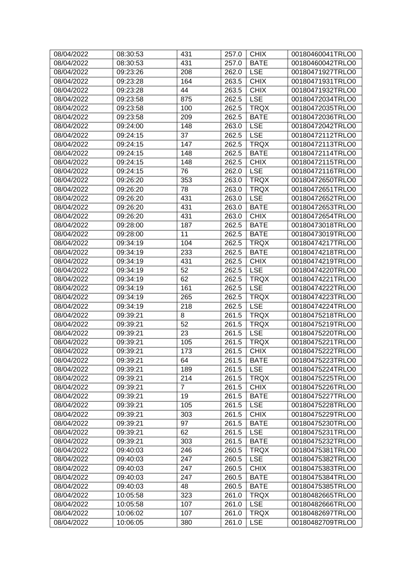| 08/04/2022 | 08:30:53 | 431            | 257.0 | <b>CHIX</b> | 00180460041TRLO0 |
|------------|----------|----------------|-------|-------------|------------------|
| 08/04/2022 | 08:30:53 | 431            | 257.0 | <b>BATE</b> | 00180460042TRLO0 |
| 08/04/2022 | 09:23:26 | 208            | 262.0 | <b>LSE</b>  | 00180471927TRLO0 |
| 08/04/2022 | 09:23:28 | 164            | 263.5 | <b>CHIX</b> | 00180471931TRLO0 |
| 08/04/2022 | 09:23:28 | 44             | 263.5 | <b>CHIX</b> | 00180471932TRLO0 |
| 08/04/2022 | 09:23:58 | 875            | 262.5 | <b>LSE</b>  | 00180472034TRLO0 |
| 08/04/2022 | 09:23:58 | 100            | 262.5 | <b>TRQX</b> | 00180472035TRLO0 |
| 08/04/2022 | 09:23:58 | 209            | 262.5 | <b>BATE</b> | 00180472036TRLO0 |
| 08/04/2022 | 09:24:00 | 148            | 263.0 | <b>LSE</b>  | 00180472042TRLO0 |
| 08/04/2022 | 09:24:15 | 37             | 262.5 | <b>LSE</b>  | 00180472112TRLO0 |
| 08/04/2022 | 09:24:15 | 147            | 262.5 | <b>TRQX</b> | 00180472113TRLO0 |
| 08/04/2022 | 09:24:15 | 148            | 262.5 | <b>BATE</b> | 00180472114TRLO0 |
| 08/04/2022 | 09:24:15 | 148            | 262.5 | <b>CHIX</b> | 00180472115TRLO0 |
| 08/04/2022 | 09:24:15 | 76             | 262.0 | <b>LSE</b>  | 00180472116TRLO0 |
| 08/04/2022 | 09:26:20 | 353            | 263.0 | <b>TRQX</b> | 00180472650TRLO0 |
| 08/04/2022 | 09:26:20 | 78             | 263.0 | <b>TRQX</b> | 00180472651TRLO0 |
| 08/04/2022 | 09:26:20 | 431            | 263.0 | <b>LSE</b>  | 00180472652TRLO0 |
| 08/04/2022 | 09:26:20 | 431            | 263.0 | <b>BATE</b> | 00180472653TRLO0 |
| 08/04/2022 | 09:26:20 | 431            | 263.0 | <b>CHIX</b> | 00180472654TRLO0 |
| 08/04/2022 | 09:28:00 | 187            | 262.5 | <b>BATE</b> | 00180473018TRLO0 |
| 08/04/2022 | 09:28:00 | 11             | 262.5 | <b>BATE</b> | 00180473019TRLO0 |
| 08/04/2022 | 09:34:19 | 104            | 262.5 | <b>TRQX</b> | 00180474217TRLO0 |
| 08/04/2022 | 09:34:19 | 233            | 262.5 | <b>BATE</b> | 00180474218TRLO0 |
| 08/04/2022 | 09:34:19 | 431            | 262.5 | <b>CHIX</b> | 00180474219TRLO0 |
| 08/04/2022 | 09:34:19 | 52             | 262.5 | <b>LSE</b>  | 00180474220TRLO0 |
| 08/04/2022 | 09:34:19 | 62             | 262.5 | <b>TRQX</b> | 00180474221TRLO0 |
| 08/04/2022 | 09:34:19 | 161            | 262.5 | <b>LSE</b>  | 00180474222TRLO0 |
| 08/04/2022 | 09:34:19 | 265            | 262.5 | <b>TRQX</b> | 00180474223TRLO0 |
| 08/04/2022 | 09:34:19 | 218            | 262.5 | <b>LSE</b>  | 00180474224TRLO0 |
| 08/04/2022 | 09:39:21 | 8              | 261.5 | <b>TRQX</b> | 00180475218TRLO0 |
| 08/04/2022 | 09:39:21 | 52             | 261.5 | <b>TRQX</b> | 00180475219TRLO0 |
| 08/04/2022 | 09:39:21 | 23             | 261.5 | <b>LSE</b>  | 00180475220TRLO0 |
| 08/04/2022 | 09:39:21 | 105            | 261.5 | <b>TRQX</b> | 00180475221TRLO0 |
| 08/04/2022 | 09:39:21 | 173            | 261.5 | <b>CHIX</b> | 00180475222TRLO0 |
| 08/04/2022 | 09:39:21 | 64             | 261.5 | <b>BATE</b> | 00180475223TRLO0 |
| 08/04/2022 | 09:39:21 | 189            | 261.5 | <b>LSE</b>  | 00180475224TRLO0 |
| 08/04/2022 | 09:39:21 | 214            | 261.5 | <b>TRQX</b> | 00180475225TRLO0 |
| 08/04/2022 | 09:39:21 | $\overline{7}$ | 261.5 | <b>CHIX</b> | 00180475226TRLO0 |
| 08/04/2022 | 09:39:21 | 19             | 261.5 | <b>BATE</b> | 00180475227TRLO0 |
| 08/04/2022 | 09:39:21 | 105            | 261.5 | <b>LSE</b>  | 00180475228TRLO0 |
| 08/04/2022 | 09:39:21 | 303            | 261.5 | <b>CHIX</b> | 00180475229TRLO0 |
| 08/04/2022 | 09:39:21 | 97             | 261.5 | <b>BATE</b> | 00180475230TRLO0 |
| 08/04/2022 | 09:39:21 | 62             | 261.5 | <b>LSE</b>  | 00180475231TRLO0 |
| 08/04/2022 | 09:39:21 | 303            | 261.5 | <b>BATE</b> | 00180475232TRLO0 |
| 08/04/2022 | 09:40:03 | 246            | 260.5 | <b>TRQX</b> | 00180475381TRLO0 |
| 08/04/2022 | 09:40:03 | 247            | 260.5 | <b>LSE</b>  | 00180475382TRLO0 |
| 08/04/2022 | 09:40:03 | 247            | 260.5 | <b>CHIX</b> | 00180475383TRLO0 |
| 08/04/2022 | 09:40:03 | 247            | 260.5 | <b>BATE</b> | 00180475384TRLO0 |
| 08/04/2022 | 09:40:03 | 48             | 260.5 | <b>BATE</b> | 00180475385TRLO0 |
| 08/04/2022 | 10:05:58 | 323            | 261.0 | <b>TRQX</b> | 00180482665TRLO0 |
| 08/04/2022 | 10:05:58 | 107            | 261.0 | <b>LSE</b>  | 00180482666TRLO0 |
| 08/04/2022 | 10:06:02 | 107            | 261.0 | <b>TRQX</b> | 00180482697TRLO0 |
| 08/04/2022 | 10:06:05 | 380            | 261.0 | <b>LSE</b>  | 00180482709TRLO0 |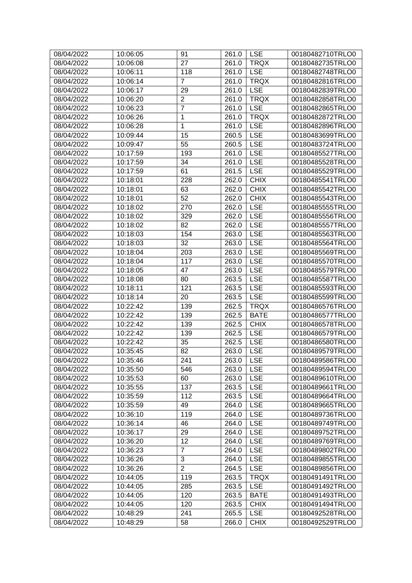| 08/04/2022 | 10:06:05 | 91             | 261.0 | <b>LSE</b>  | 00180482710TRLO0 |
|------------|----------|----------------|-------|-------------|------------------|
| 08/04/2022 | 10:06:08 | 27             | 261.0 | <b>TRQX</b> | 00180482735TRLO0 |
| 08/04/2022 | 10:06:11 | 118            | 261.0 | <b>LSE</b>  | 00180482748TRLO0 |
| 08/04/2022 | 10:06:14 | $\overline{7}$ | 261.0 | <b>TRQX</b> | 00180482816TRLO0 |
| 08/04/2022 | 10:06:17 | 29             | 261.0 | <b>LSE</b>  | 00180482839TRLO0 |
| 08/04/2022 | 10:06:20 | $\overline{c}$ | 261.0 | <b>TRQX</b> | 00180482858TRLO0 |
| 08/04/2022 | 10:06:23 | $\overline{7}$ | 261.0 | <b>LSE</b>  | 00180482865TRLO0 |
| 08/04/2022 | 10:06:26 | 1              | 261.0 | <b>TRQX</b> | 00180482872TRLO0 |
| 08/04/2022 | 10:06:28 | 1              | 261.0 | <b>LSE</b>  | 00180482896TRLO0 |
| 08/04/2022 | 10:09:44 | 15             | 260.5 | <b>LSE</b>  | 00180483699TRLO0 |
| 08/04/2022 | 10:09:47 | 55             | 260.5 | <b>LSE</b>  | 00180483724TRLO0 |
| 08/04/2022 | 10:17:59 | 193            | 261.0 | <b>LSE</b>  | 00180485527TRLO0 |
| 08/04/2022 | 10:17:59 | 34             | 261.0 | <b>LSE</b>  | 00180485528TRLO0 |
| 08/04/2022 | 10:17:59 | 61             | 261.5 | <b>LSE</b>  | 00180485529TRLO0 |
| 08/04/2022 | 10:18:01 | 228            | 262.0 | <b>CHIX</b> | 00180485541TRLO0 |
| 08/04/2022 | 10:18:01 | 63             | 262.0 | <b>CHIX</b> | 00180485542TRLO0 |
| 08/04/2022 | 10:18:01 | 52             | 262.0 | <b>CHIX</b> | 00180485543TRLO0 |
| 08/04/2022 | 10:18:02 | 270            | 262.0 | <b>LSE</b>  | 00180485555TRLO0 |
| 08/04/2022 | 10:18:02 | 329            | 262.0 | <b>LSE</b>  | 00180485556TRLO0 |
| 08/04/2022 | 10:18:02 | 82             | 262.0 | <b>LSE</b>  | 00180485557TRLO0 |
| 08/04/2022 | 10:18:03 | 154            | 263.0 | <b>LSE</b>  | 00180485563TRLO0 |
| 08/04/2022 | 10:18:03 | 32             | 263.0 | <b>LSE</b>  | 00180485564TRLO0 |
| 08/04/2022 | 10:18:04 | 203            | 263.0 | <b>LSE</b>  | 00180485569TRLO0 |
| 08/04/2022 | 10:18:04 | 117            | 263.0 | <b>LSE</b>  | 00180485570TRLO0 |
| 08/04/2022 | 10:18:05 | 47             | 263.0 | <b>LSE</b>  | 00180485579TRLO0 |
| 08/04/2022 | 10:18:08 | 80             | 263.5 | <b>LSE</b>  | 00180485587TRLO0 |
| 08/04/2022 | 10:18:11 | 121            | 263.5 | <b>LSE</b>  | 00180485593TRLO0 |
| 08/04/2022 | 10:18:14 | 20             | 263.5 | <b>LSE</b>  | 00180485599TRLO0 |
| 08/04/2022 | 10:22:42 | 139            | 262.5 | <b>TRQX</b> | 00180486576TRLO0 |
| 08/04/2022 | 10:22:42 | 139            | 262.5 | <b>BATE</b> | 00180486577TRLO0 |
| 08/04/2022 | 10:22:42 | 139            | 262.5 | <b>CHIX</b> | 00180486578TRLO0 |
| 08/04/2022 | 10:22:42 | 139            | 262.5 | <b>LSE</b>  | 00180486579TRLO0 |
| 08/04/2022 | 10:22:42 | 35             | 262.5 | <b>LSE</b>  | 00180486580TRLO0 |
| 08/04/2022 | 10:35:45 | 82             | 263.0 | <b>LSE</b>  | 00180489579TRLO0 |
| 08/04/2022 | 10:35:46 | 241            | 263.0 | LSE         | 00180489586TRLO0 |
| 08/04/2022 | 10:35:50 | 546            | 263.0 | <b>LSE</b>  | 00180489594TRLO0 |
| 08/04/2022 | 10:35:53 | 60             | 263.0 | <b>LSE</b>  | 00180489610TRLO0 |
| 08/04/2022 | 10:35:55 | 137            | 263.5 | <b>LSE</b>  | 00180489661TRLO0 |
| 08/04/2022 | 10:35:59 | 112            | 263.5 | <b>LSE</b>  | 00180489664TRLO0 |
| 08/04/2022 | 10:35:59 | 49             | 264.0 | <b>LSE</b>  | 00180489665TRLO0 |
| 08/04/2022 | 10:36:10 | 119            | 264.0 | <b>LSE</b>  | 00180489736TRLO0 |
| 08/04/2022 | 10:36:14 | 46             | 264.0 | <b>LSE</b>  | 00180489749TRLO0 |
| 08/04/2022 | 10:36:17 | 29             | 264.0 | <b>LSE</b>  | 00180489752TRLO0 |
| 08/04/2022 | 10:36:20 | 12             | 264.0 | <b>LSE</b>  | 00180489769TRLO0 |
| 08/04/2022 | 10:36:23 | $\overline{7}$ | 264.0 | <b>LSE</b>  | 00180489802TRLO0 |
| 08/04/2022 | 10:36:26 | 3              | 264.0 | <b>LSE</b>  | 00180489855TRLO0 |
| 08/04/2022 | 10:36:26 | $\overline{2}$ | 264.5 | <b>LSE</b>  | 00180489856TRLO0 |
| 08/04/2022 | 10:44:05 | 119            | 263.5 | <b>TRQX</b> | 00180491491TRLO0 |
| 08/04/2022 | 10:44:05 | 285            | 263.5 | <b>LSE</b>  | 00180491492TRLO0 |
| 08/04/2022 | 10:44:05 | 120            | 263.5 | <b>BATE</b> | 00180491493TRLO0 |
| 08/04/2022 | 10:44:05 | 120            | 263.5 | <b>CHIX</b> | 00180491494TRLO0 |
| 08/04/2022 | 10:48:29 | 241            | 265.5 | <b>LSE</b>  | 00180492528TRLO0 |
| 08/04/2022 | 10:48:29 | 58             | 266.0 | <b>CHIX</b> | 00180492529TRLO0 |
|            |          |                |       |             |                  |